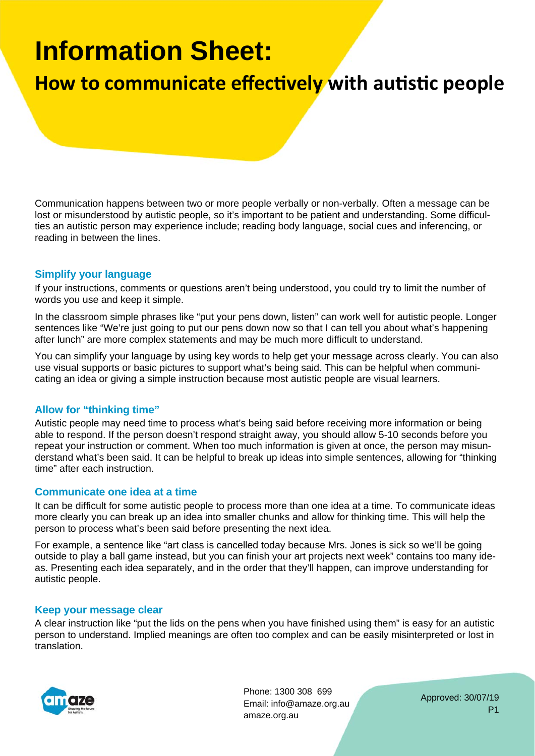# **Information Sheet:**

## **How to communicate effectively with autistic people**

Communication happens between two or more people verbally or non-verbally. Often a message can be lost or misunderstood by autistic people, so it's important to be patient and understanding. Some difficulties an autistic person may experience include; reading body language, social cues and inferencing, or reading in between the lines.

#### **Simplify your language**

If your instructions, comments or questions aren't being understood, you could try to limit the number of words you use and keep it simple.

In the classroom simple phrases like "put your pens down, listen" can work well for autistic people. Longer sentences like "We're just going to put our pens down now so that I can tell you about what's happening after lunch" are more complex statements and may be much more difficult to understand.

You can simplify your language by using key words to help get your message across clearly. You can also use visual supports or basic pictures to support what's being said. This can be helpful when communicating an idea or giving a simple instruction because most autistic people are visual learners.

### **Allow for "thinking time"**

Autistic people may need time to process what's being said before receiving more information or being able to respond. If the person doesn't respond straight away, you should allow 5-10 seconds before you repeat your instruction or comment. When too much information is given at once, the person may misunderstand what's been said. It can be helpful to break up ideas into simple sentences, allowing for "thinking time" after each instruction.

#### **Communicate one idea at a time**

It can be difficult for some autistic people to process more than one idea at a time. To communicate ideas more clearly you can break up an idea into smaller chunks and allow for thinking time. This will help the person to process what's been said before presenting the next idea.

For example, a sentence like "art class is cancelled today because Mrs. Jones is sick so we'll be going outside to play a ball game instead, but you can finish your art projects next week" contains too many ideas. Presenting each idea separately, and in the order that they'll happen, can improve understanding for autistic people.

#### **Keep your message clear**

A clear instruction like "put the lids on the pens when you have finished using them" is easy for an autistic person to understand. Implied meanings are often too complex and can be easily misinterpreted or lost in translation.



Phone: 1300 308 699 Email: info@amaze.org.au amaze.org.au

Approved: 30/07/19 P1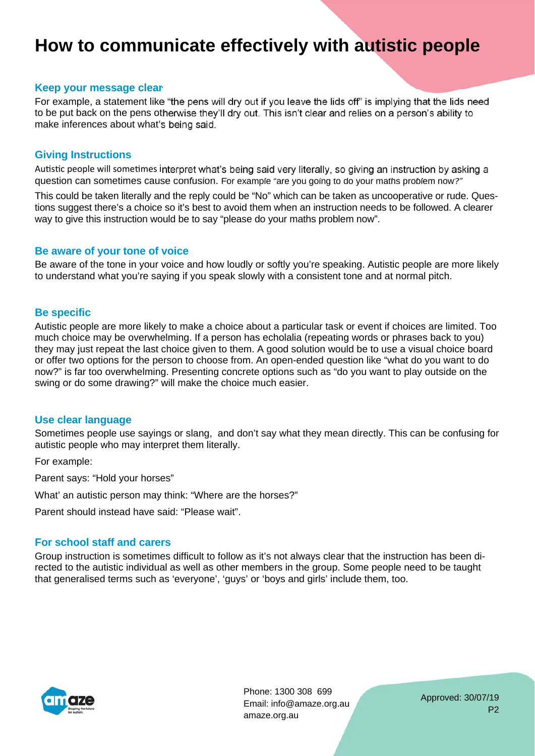## **How to communicate effectively with autistic people**

#### **Keep your message clear**

For example, a statement like "the pens will dry out if you leave the lids off" is implying that the lids need to be put back on the pens otherwise they'll dry out. This isn't clear and relies on a person's ability to make inferences about what's being said.

#### **Giving Instructions**

Autistic people will sometimes interpret what's being said very literally, so giving an instruction by asking a question can sometimes cause confusion. For example "are you going to do your maths problem now?"

This could be taken literally and the reply could be "No" which can be taken as uncooperative or rude. Questions suggest there's a choice so it's best to avoid them when an instruction needs to be followed. A clearer way to give this instruction would be to say "please do your maths problem now".

#### **Be aware of your tone of voice**

Be aware of the tone in your voice and how loudly or softly you're speaking. Autistic people are more likely to understand what you're saying if you speak slowly with a consistent tone and at normal pitch.

#### **Be specific**

Autistic people are more likely to make a choice about a particular task or event if choices are limited. Too much choice may be overwhelming. If a person has echolalia (repeating words or phrases back to you) they may just repeat the last choice given to them. A good solution would be to use a visual choice board or offer two options for the person to choose from. An open-ended question like "what do you want to do now?" is far too overwhelming. Presenting concrete options such as "do you want to play outside on the swing or do some drawing?" will make the choice much easier.

#### **Use clear language**

Sometimes people use sayings or slang, and don't say what they mean directly. This can be confusing for autistic people who may interpret them literally.

For example:

Parent says: "Hold your horses"

What' an autistic person may think: "Where are the horses?"

Parent should instead have said: "Please wait".

#### **For school staff and carers**

Group instruction is sometimes difficult to follow as it's not always clear that the instruction has been directed to the autistic individual as well as other members in the group. Some people need to be taught that generalised terms such as 'everyone', 'guys' or 'boys and girls' include them, too.



Phone: 1300 308 699 Email: info@amaze.org.au amaze.org.au

Approved: 30/07/19 P2